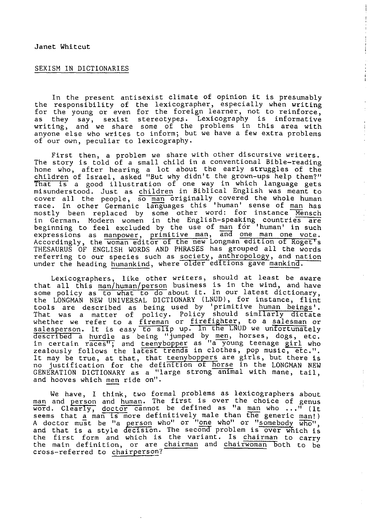## SEXISM IN DICTIONARIES

In the present antisexist climate of opinion it is presumably the responsibility of the lexicographer, especially when writing for the young or even for the foreign learner, not to reinforce, as they say, sexist stereotypes. Lexicography is informative writing, and we share some of the problems in this area with anyone else who writes to inform; but we have a few extra problems of our own, peculiar to lexicography.

 $\pm$ 

 $\begin{array}{c} \begin{array}{c} 1 \\ 1 \end{array} \\ \begin{array}{c} 1 \end{array} \end{array}$ 

 $\pm 1$ 

First then, a problem we share with other discursive writers. The story is told of a small child in a conventional Bible-reading home who, after hearing a lot about the early struggles of the children of Israel, asked "But why didn't the grown-ups help them?" That *Ts* a good illustration of one way in which language gets misunderstood. Just as children in Biblical English was meant to cover all the people, so man originally covered the whole human race. In other Germanic languages this 'human' sense of man has mostly been replaced by some other word: for instance Mensch in German. Modern women in the English-speaking countries are beginning to feel excluded by the use of man for 'human' in such expressions as manpower, primitive man, and one man one vote. Accordingly, the woman editor ot the new Longman edition ot Roget's THESAURUS OF ENGLISH WORDS AND PHRASES has grouped all the words referring to our species such as society, anthropology, and nation under the heading humankind, where older editions gave mankind.

Lexicographers, like other writers, should at least be aware that all this man/human/person business is in the wind, and have some policy as to what to do about it. In our latest dictionary, the LONGMAN NEW UNIVERSAL DICTIONARY (LNUD), for instance, flint tools are described as being used by 'primitive human beings'. That was a matter of policy. Policy should similarly dictate whether we refer to a fireman or firefighter, to a salesman or salesperson. It is easy to slip up. In the LNUD we unfortunately described â hurdle as being "jumped by men, horses, dogs, etc. in certain races"; and teenybopper as "a young teenage girl who zealously follows the latest trends in clothes, pop music, etc.". It may be true, at that, that teenyboppers are girls, but there is no justification for the definition ot horse in the LONGMAN NEW GENERATION DICTIONARY as a "large strong animal with mane, tail, and hooves which men ride on".

We have, I think, two formal problems as lexicographers about man and person and human. The first is over the choice of genus word. Clearly, doctor cannot be defined as "a man who ..." (it seems that a man is more definitively male than the generic man!) A doctor must be "a person who" or "<u>one</u> who" or "somebody  $\overline{who}$ ", and that is a style decision. The second problem is over which is the first form and which is the variant. Is chairman to carry the main definition, or are chairman and chairwoman Both to be cross-referred to chairperson?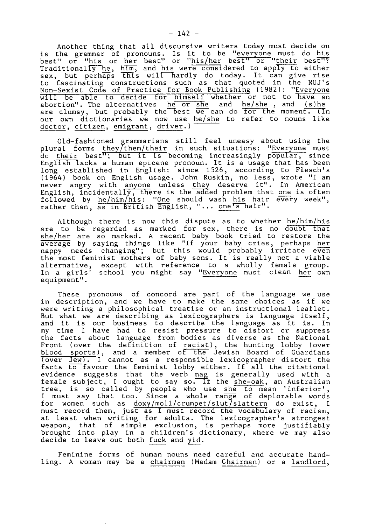Another thing that all discursive writers today must decide on is the grammar of pronouns. Is it to be "everyone must do his best" or "his or her best" or "his/her best" or "their best"? Traditionally he, him, and his were considered to apply to either sex, but perhâps this will hardly do today. It can give rise to fascinating constructions such as that quoted in the NUJ's Non-Sexist Code of Practice for Book Publishing (1982): "Everyone will be able to decide for himself whether or not to have an will be able to decide for <u>Himself</u> whether of hot to have an<br>abortion". The alternatives he or she and he/she, and (s)he<br>are clumsy, but probably the best we can do for the moment. (In our own dictionaries we now use he/she to refer to nouns like doctor, citizen, emigrant, driver.)<sup>-</sup>

Old-fashioned grammarians still feel uneasy about using the plural forms they/them/their in such situations: "Everyone must do their best"; but it is becoming increasingly popular, since English lacks a human epicene pronoun. It is a usage that has been long established in English: since 1526, according to Flesch's (1964) book on English usage. John Ruskin, no less, wrote "I am never angry with anyone unless they deserve it". In American English, incidentally, there is the added problem that one is often followed by he/him/his: "One should wash his hair every week", rather than, as in British English, "... one's hair".

Although there is now this dispute as to whether he/him/his are to be regarded as marked for sex, there is no doubt that she/her are so marked. A recent baby book tried to restore the average by saying things like "If your baby cries, perhaps her nappy needs changing"; but this would probably irritate even the most feminist mothers of baby sons. It is really not a viable alternative, except with reference to a wholly female group. In a girls' school you might say "Everyone must clean her own equipment".

These pronouns of concord are part of the language we use in description, and we have to make the same choices as if we were writing a philosophical treatise or an instructional leaflet. But what we are describing as lexicographers is language itself, and it is our business to describe the language as it is. In my time I have had to resist pressure to distort or suppress the facts about language from bodies as diverse as the National Front (over the definition of racist), the hunting lobby (over blood sports), and a member of the Jewish Board of Guardians (over Jew). I cannot as a responsible lexicographer distort the facts to favour the feminist lobby either. If all the citational evidence suggests that the verb nag is generally used with a female subject, I ought to say so. If the she-oak, an Australian tree, is so called by people who use she to mean 'inferior', I must say that too. Since a whole range of deplorable words for women such as doxy/moll/crumpet/slut/slattern do exist, I must record them, just as I must record the vocabulary of racism, at least when writing for adults. The lexicographer's strongest weapon, that of simple exclusion, is perhaps more justifiably brought into play in a children's dictionary, where we may also decide to leave out both fuck and yid.

Feminine forms of human nouns need careful and accurate handling. A woman may be a chairman (Madam Chairman) or a landlord,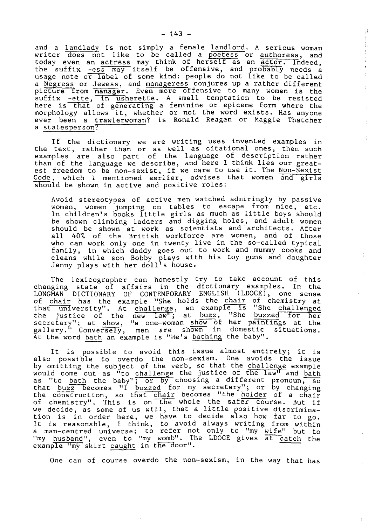and a landlady is not simply a female landlord. A serious woman writer does not like to be called a poetess or authoress, and today even an actress may think of herself as an actor. Tndeed, the suffix -ess may itself be offensive, and probably needs a usage note o<del>r la</del>bel of some kind: people do not like to be called a Negress or Jewess, and manageress conjures up a rather different picture from manager. Even more offensive to many women is the suffix -ette, in usherette. A small temptation to be resisted here is that of generating a feminine or epicene form where the morphology allows it, whether or not the word exists. Has anyone ever been a trawIerwoman? is Ronald Reagan or Maggie Thatcher a statesperson?

đ,

a)

 $\frac{1}{2}$ 

If the dictionary we are writing uses invented examples in the text, rather than or as well as citational ones, then such examples are also part of the language of description rather than of the language we describe, and here I think lies our greatest freedom to be non-sexist, if we care to use it. The Non-Sexist Code, which I mentioned earlier, advises that women and girls should be shown in active and positive roles:

Avoid stereotypes of active men watched admiringly by passive women, women jumping on tables to escape from mice, etc. In children's books little girls as much as little boys should be shown climbing ladders and digging holes, and adult women should be shown at work as scientists and'architects. After all 40% of the British workforce are women, and of those who can work only one in twenty live in the so-called typical family, in which daddy goes out to work and mummy cooks and cleans while son Bobby plays with his toy guns and daughter Jenny plays with her doll's house.

The lexicographer can honestly try to take account of this changing state of affairs in the dictionary examples. In the LONGMAN DICTIONARY OF CONTEMPORARY ENGLISH (LDOCE), one sense of chair has the example "She holds the chair of chemistry at that university". At challenge, an example Is "She challenged the justice of the *new* Taw<sup>m</sup>; at buzz, "She buzzed for her secretary"; at show, "a one-woman show of her paintings at the gallery." Conversely, men are shown in domestic situations. At the word bath an example is "He's bathing the baby".

It is possible to avoid this issue almost entirely; it is also possible to overdo the non-sexism. One avoids the issue by omitting the subject of the verb, so that the challenge example would come out as "to challenge the justice of the law" and bath as "to bath the baby"; or by choosing a different pronoun, so that buzz becomes "I buzzed for my secretary"; or by changing the construction, so that chair becomes "the holder of a chair of chemistry". This is on the whole the safer course. But if we decide, as some of us will, that a little positive discrimination is in order here, we have to decide also how far to go. It is reasonable, I think, to avoid always writing from within a man-centred universe; to refer not only to "my wife" but to "my husband", even to "my womb". The LDOCE gives at catch the example "my skirt caught in the door".

One can of course overdo the non-sexism, in the way that has